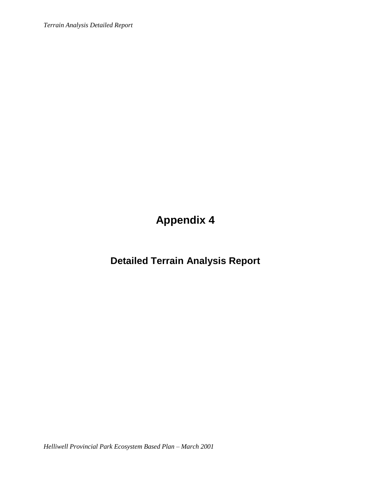*Terrain Analysis Detailed Report*

**Appendix 4**

**Detailed Terrain Analysis Report**

*Helliwell Provincial Park Ecosystem Based Plan – March 2001*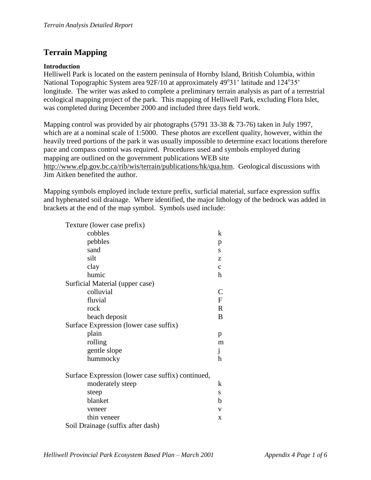# **Terrain Mapping**

### **Introduction**

Helliwell Park is located on the eastern peninsula of Hornby Island, British Columbia, within National Topographic System area 92F/10 at approximately 49°31' latitude and 124°35' longitude. The writer was asked to complete a preliminary terrain analysis as part of a terrestrial ecological mapping project of the park. This mapping of Helliwell Park, excluding Flora Islet, was completed during December 2000 and included three days field work.

Mapping control was provided by air photographs (5791 33-38 & 73-76) taken in July 1997, which are at a nominal scale of 1:5000. These photos are excellent quality, however, within the heavily treed portions of the park it was usually impossible to determine exact locations therefore pace and compass control was required. Procedures used and symbols employed during mapping are outlined on the government publications WEB site [http://www.elp.gov.bc.ca/rib/wis/terrain/publications/hk/qua.htm.](http://www.elp.gov.bc.ca/rib/wis/terrain/publications/hk/qua.htm) Geological discussions with Jim Aitken benefited the author.

Mapping symbols employed include texture prefix, surficial material, surface expression suffix and hyphenated soil drainage. Where identified, the major lithology of the bedrock was added in brackets at the end of the map symbol. Symbols used include:

| Texture (lower case prefix)                       |              |
|---------------------------------------------------|--------------|
| cobbles                                           | k            |
| pebbles                                           | p            |
| sand                                              | S            |
| silt                                              | z            |
| clay                                              | $\mathbf{C}$ |
| humic                                             | h            |
| Surficial Material (upper case)                   |              |
| colluvial                                         | C            |
| fluvial                                           | F            |
| rock                                              | $\mathbf R$  |
| beach deposit                                     | B            |
| Surface Expression (lower case suffix)            |              |
| plain                                             | p            |
| rolling                                           | m            |
| gentle slope                                      | j            |
| hummocky                                          | h            |
| Surface Expression (lower case suffix) continued, |              |
| moderately steep                                  | k            |
| steep                                             | S            |
| blanket                                           | b            |
| veneer                                            | V            |
| thin veneer                                       | $\mathbf{x}$ |
| Soil Drainage (suffix after dash)                 |              |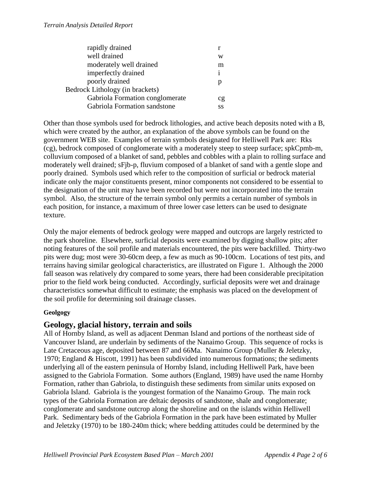| rapidly drained                 |    |
|---------------------------------|----|
| well drained                    | W  |
| moderately well drained         | m  |
| imperfectly drained             | 1  |
| poorly drained                  |    |
| Bedrock Lithology (in brackets) |    |
| Gabriola Formation conglomerate | cg |
| Gabriola Formation sandstone    | SS |
|                                 |    |

Other than those symbols used for bedrock lithologies, and active beach deposits noted with a B, which were created by the author, an explanation of the above symbols can be found on the government WEB site. Examples of terrain symbols designated for Helliwell Park are: Rks (cg), bedrock composed of conglomerate with a moderately steep to steep surface; spkCpmb-m, colluvium composed of a blanket of sand, pebbles and cobbles with a plain to rolling surface and moderately well drained; sFjb-p, fluvium composed of a blanket of sand with a gentle slope and poorly drained. Symbols used which refer to the composition of surficial or bedrock material indicate only the major constituents present, minor components not considered to be essential to the designation of the unit may have been recorded but were not incorporated into the terrain symbol. Also, the structure of the terrain symbol only permits a certain number of symbols in each position, for instance, a maximum of three lower case letters can be used to designate texture.

Only the major elements of bedrock geology were mapped and outcrops are largely restricted to the park shoreline. Elsewhere, surficial deposits were examined by digging shallow pits; after noting features of the soil profile and materials encountered, the pits were backfilled. Thirty-two pits were dug; most were 30-60cm deep, a few as much as 90-100cm. Locations of test pits, and terrains having similar geological characteristics, are illustrated on Figure 1. Although the 2000 fall season was relatively dry compared to some years, there had been considerable precipitation prior to the field work being conducted. Accordingly, surficial deposits were wet and drainage characteristics somewhat difficult to estimate; the emphasis was placed on the development of the soil profile for determining soil drainage classes.

## **Geolgogy**

## **Geology, glacial history, terrain and soils**

All of Hornby Island, as well as adjacent Denman Island and portions of the northeast side of Vancouver Island, are underlain by sediments of the Nanaimo Group. This sequence of rocks is Late Cretaceous age, deposited between 87 and 66Ma. Nanaimo Group (Muller & Jeletzky, 1970; England & Hiscott, 1991) has been subdivided into numerous formations; the sediments underlying all of the eastern peninsula of Hornby Island, including Helliwell Park, have been assigned to the Gabriola Formation. Some authors (England, 1989) have used the name Hornby Formation, rather than Gabriola, to distinguish these sediments from similar units exposed on Gabriola Island. Gabriola is the youngest formation of the Nanaimo Group. The main rock types of the Gabriola Formation are deltaic deposits of sandstone, shale and conglomerate; conglomerate and sandstone outcrop along the shoreline and on the islands within Helliwell Park. Sedimentary beds of the Gabriola Formation in the park have been estimated by Muller and Jeletzky (1970) to be 180-240m thick; where bedding attitudes could be determined by the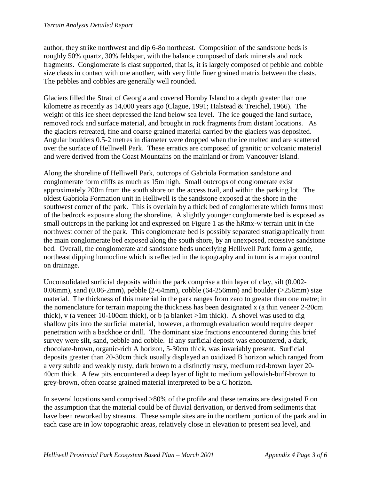#### *Terrain Analysis Detailed Report*

author, they strike northwest and dip 6-8o northeast. Composition of the sandstone beds is roughly 50% quartz, 30% feldspar, with the balance composed of dark minerals and rock fragments. Conglomerate is clast supported, that is, it is largely composed of pebble and cobble size clasts in contact with one another, with very little finer grained matrix between the clasts. The pebbles and cobbles are generally well rounded.

Glaciers filled the Strait of Georgia and covered Hornby Island to a depth greater than one kilometre as recently as 14,000 years ago (Clague, 1991; Halstead & Treichel, 1966). The weight of this ice sheet depressed the land below sea level. The ice gouged the land surface, removed rock and surface material, and brought in rock fragments from distant locations. As the glaciers retreated, fine and coarse grained material carried by the glaciers was deposited. Angular boulders 0.5-2 metres in diameter were dropped when the ice melted and are scattered over the surface of Helliwell Park. These erratics are composed of granitic or volcanic material and were derived from the Coast Mountains on the mainland or from Vancouver Island.

Along the shoreline of Helliwell Park, outcrops of Gabriola Formation sandstone and conglomerate form cliffs as much as 15m high. Small outcrops of conglomerate exist approximately 200m from the south shore on the access trail, and within the parking lot. The oldest Gabriola Formation unit in Helliwell is the sandstone exposed at the shore in the southwest corner of the park. This is overlain by a thick bed of conglomerate which forms most of the bedrock exposure along the shoreline. A slightly younger conglomerate bed is exposed as small outcrops in the parking lot and expressed on Figure 1 as the hRmx-w terrain unit in the northwest corner of the park. This conglomerate bed is possibly separated stratigraphically from the main conglomerate bed exposed along the south shore, by an unexposed, recessive sandstone bed. Overall, the conglomerate and sandstone beds underlying Helliwell Park form a gentle, northeast dipping homocline which is reflected in the topography and in turn is a major control on drainage.

Unconsolidated surficial deposits within the park comprise a thin layer of clay, silt (0.002- 0.06mm), sand (0.06-2mm), pebble (2-64mm), cobble (64-256mm) and boulder ( $>$ 256mm) size material. The thickness of this material in the park ranges from zero to greater than one metre; in the nomenclature for terrain mapping the thickness has been designated x (a thin veneer 2-20cm thick), v (a veneer 10-100cm thick), or b (a blanket >1m thick). A shovel was used to dig shallow pits into the surficial material, however, a thorough evaluation would require deeper penetration with a backhoe or drill. The dominant size fractions encountered during this brief survey were silt, sand, pebble and cobble. If any surficial deposit was encountered, a dark, chocolate-brown, organic-rich A horizon, 5-30cm thick, was invariably present. Surficial deposits greater than 20-30cm thick usually displayed an oxidized B horizon which ranged from a very subtle and weakly rusty, dark brown to a distinctly rusty, medium red-brown layer 20- 40cm thick. A few pits encountered a deep layer of light to medium yellowish-buff-brown to grey-brown, often coarse grained material interpreted to be a C horizon.

In several locations sand comprised >80% of the profile and these terrains are designated F on the assumption that the material could be of fluvial derivation, or derived from sediments that have been reworked by streams. These sample sites are in the northern portion of the park and in each case are in low topographic areas, relatively close in elevation to present sea level, and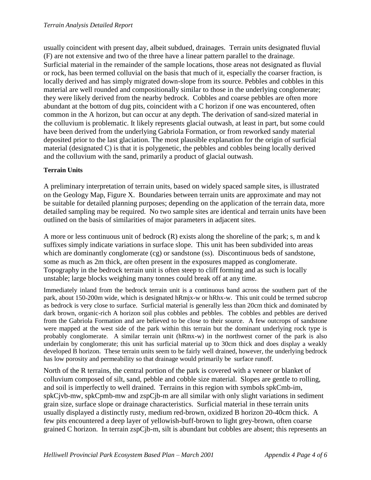usually coincident with present day, albeit subdued, drainages. Terrain units designated fluvial (F) are not extensive and two of the three have a linear pattern parallel to the drainage. Surficial material in the remainder of the sample locations, those areas not designated as fluvial or rock, has been termed colluvial on the basis that much of it, especially the coarser fraction, is locally derived and has simply migrated down-slope from its source. Pebbles and cobbles in this material are well rounded and compositionally similar to those in the underlying conglomerate; they were likely derived from the nearby bedrock. Cobbles and coarse pebbles are often more abundant at the bottom of dug pits, coincident with a C horizon if one was encountered, often common in the A horizon, but can occur at any depth. The derivation of sand-sized material in the colluvium is problematic. It likely represents glacial outwash, at least in part, but some could have been derived from the underlying Gabriola Formation, or from reworked sandy material deposited prior to the last glaciation. The most plausible explanation for the origin of surficial material (designated C) is that it is polygenetic, the pebbles and cobbles being locally derived and the colluvium with the sand, primarily a product of glacial outwash.

## **Terrain Units**

A preliminary interpretation of terrain units, based on widely spaced sample sites, is illustrated on the Geology Map, Figure X. Boundaries between terrain units are approximate and may not be suitable for detailed planning purposes; depending on the application of the terrain data, more detailed sampling may be required. No two sample sites are identical and terrain units have been outlined on the basis of similarities of major parameters in adjacent sites.

A more or less continuous unit of bedrock (R) exists along the shoreline of the park; s, m and k suffixes simply indicate variations in surface slope. This unit has been subdivided into areas which are dominantly conglomerate (cg) or sandstone (ss). Discontinuous beds of sandstone, some as much as 2m thick, are often present in the exposures mapped as conglomerate. Topography in the bedrock terrain unit is often steep to cliff forming and as such is locally unstable; large blocks weighing many tonnes could break off at any time.

Immediately inland from the bedrock terrain unit is a continuous band across the southern part of the park, about 150-200m wide, which is designated hRmjx-w or hRhx-w. This unit could be termed subcrop as bedrock is very close to surface. Surficial material is generally less than 20cm thick and dominated by dark brown, organic-rich A horizon soil plus cobbles and pebbles. The cobbles and pebbles are derived from the Gabriola Formation and are believed to be close to their source. A few outcrops of sandstone were mapped at the west side of the park within this terrain but the dominant underlying rock type is probably conglomerate. A similar terrain unit (hRmx-w) in the northwest corner of the park is also underlain by conglomerate; this unit has surficial material up to 30cm thick and does display a weakly developed B horizon. These terrain units seem to be fairly well drained, however, the underlying bedrock has low porosity and permeability so that drainage would primarily be surface runoff.

North of the R terrains, the central portion of the park is covered with a veneer or blanket of colluvium composed of silt, sand, pebble and cobble size material. Slopes are gentle to rolling, and soil is imperfectly to well drained. Terrains in this region with symbols spkCmb-im, spkCjvb-mw, spkCpmb-mw and zspCjb-m are all similar with only slight variations in sediment grain size, surface slope or drainage characteristics. Surficial material in these terrain units usually displayed a distinctly rusty, medium red-brown, oxidized B horizon 20-40cm thick. A few pits encountered a deep layer of yellowish-buff-brown to light grey-brown, often coarse grained C horizon. In terrain zspCjb-m, silt is abundant but cobbles are absent; this represents an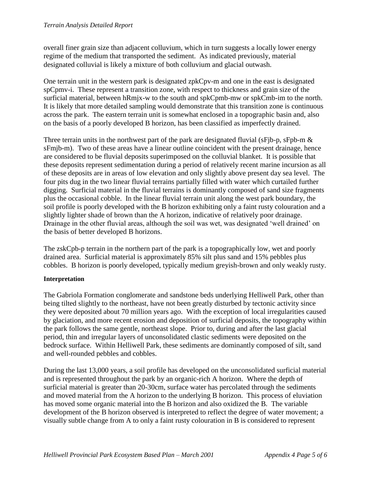overall finer grain size than adjacent colluvium, which in turn suggests a locally lower energy regime of the medium that transported the sediment. As indicated previously, material designated colluvial is likely a mixture of both colluvium and glacial outwash.

One terrain unit in the western park is designated zpkCpv-m and one in the east is designated spCpmv-i. These represent a transition zone, with respect to thickness and grain size of the surficial material, between hRmjx-w to the south and spkCpmb-mw or spkCmb-im to the north. It is likely that more detailed sampling would demonstrate that this transition zone is continuous across the park. The eastern terrain unit is somewhat enclosed in a topographic basin and, also on the basis of a poorly developed B horizon, has been classified as imperfectly drained.

Three terrain units in the northwest part of the park are designated fluvial ( $sF$ jb-p,  $sF$ pb-m  $\&$ sFmjb-m). Two of these areas have a linear outline coincident with the present drainage, hence are considered to be fluvial deposits superimposed on the colluvial blanket. It is possible that these deposits represent sedimentation during a period of relatively recent marine incursion as all of these deposits are in areas of low elevation and only slightly above present day sea level. The four pits dug in the two linear fluvial terrains partially filled with water which curtailed further digging. Surficial material in the fluvial terrains is dominantly composed of sand size fragments plus the occasional cobble. In the linear fluvial terrain unit along the west park boundary, the soil profile is poorly developed with the B horizon exhibiting only a faint rusty colouration and a slightly lighter shade of brown than the A horizon, indicative of relatively poor drainage. Drainage in the other fluvial areas, although the soil was wet, was designated 'well drained' on the basis of better developed B horizons.

The zskCpb-p terrain in the northern part of the park is a topographically low, wet and poorly drained area. Surficial material is approximately 85% silt plus sand and 15% pebbles plus cobbles. B horizon is poorly developed, typically medium greyish-brown and only weakly rusty.

## **Interpretation**

The Gabriola Formation conglomerate and sandstone beds underlying Helliwell Park, other than being tilted slightly to the northeast, have not been greatly disturbed by tectonic activity since they were deposited about 70 million years ago. With the exception of local irregularities caused by glaciation, and more recent erosion and deposition of surficial deposits, the topography within the park follows the same gentle, northeast slope. Prior to, during and after the last glacial period, thin and irregular layers of unconsolidated clastic sediments were deposited on the bedrock surface. Within Helliwell Park, these sediments are dominantly composed of silt, sand and well-rounded pebbles and cobbles.

During the last 13,000 years, a soil profile has developed on the unconsolidated surficial material and is represented throughout the park by an organic-rich A horizon. Where the depth of surficial material is greater than 20-30cm, surface water has percolated through the sediments and moved material from the A horizon to the underlying B horizon. This process of eluviation has moved some organic material into the B horizon and also oxidized the B. The variable development of the B horizon observed is interpreted to reflect the degree of water movement; a visually subtle change from A to only a faint rusty colouration in B is considered to represent